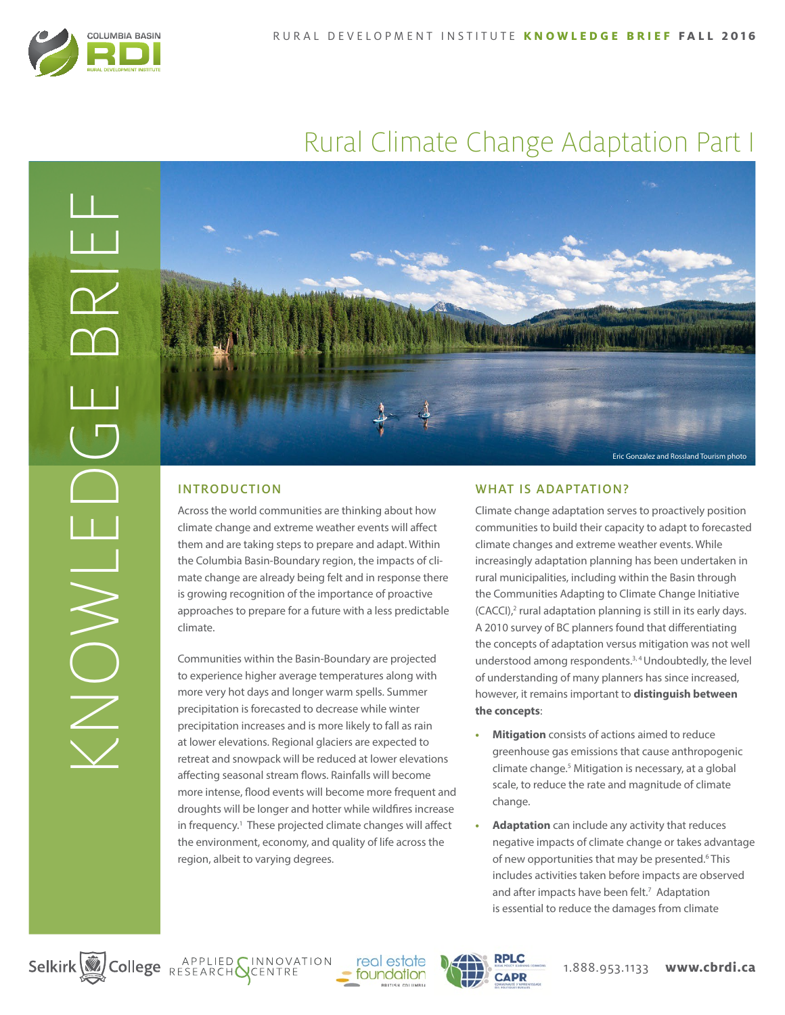

# Rural Climate Change Adaptation Part I



# INTRODUCTION

Across the world communities are thinking about how climate change and extreme weather events will affect them and are taking steps to prepare and adapt. Within the Columbia Basin-Boundary region, the impacts of climate change are already being felt and in response there is growing recognition of the importance of proactive approaches to prepare for a future with a less predictable climate.

Communities within the Basin-Boundary are projected to experience higher average temperatures along with more very hot days and longer warm spells. Summer precipitation is forecasted to decrease while winter precipitation increases and is more likely to fall as rain at lower elevations. Regional glaciers are expected to retreat and snowpack will be reduced at lower elevations affecting seasonal stream flows. Rainfalls will become more intense, flood events will become more frequent and droughts will be longer and hotter while wildfires increase in frequency.<sup>1</sup> These projected climate changes will affect the environment, economy, and quality of life across the region, albeit to varying degrees.

# WHAT IS ADAPTATION?

Climate change adaptation serves to proactively position communities to build their capacity to adapt to forecasted climate changes and extreme weather events. While increasingly adaptation planning has been undertaken in rural municipalities, including within the Basin through the Communities Adapting to Climate Change Initiative (CACCI),<sup>2</sup> rural adaptation planning is still in its early days. A 2010 survey of BC planners found that differentiating the concepts of adaptation versus mitigation was not well understood among respondents.<sup>3, 4</sup> Undoubtedly, the level of understanding of many planners has since increased, however, it remains important to **distinguish between the concepts**:

- **• Mitigation** consists of actions aimed to reduce greenhouse gas emissions that cause anthropogenic climate change.5 Mitigation is necessary, at a global scale, to reduce the rate and magnitude of climate change.
- **• Adaptation** can include any activity that reduces negative impacts of climate change or takes advantage of new opportunities that may be presented.<sup>6</sup> This includes activities taken before impacts are observed and after impacts have been felt.<sup>7</sup> Adaptation is essential to reduce the damages from climate

Selkirk College RESEARCH SCENTRE



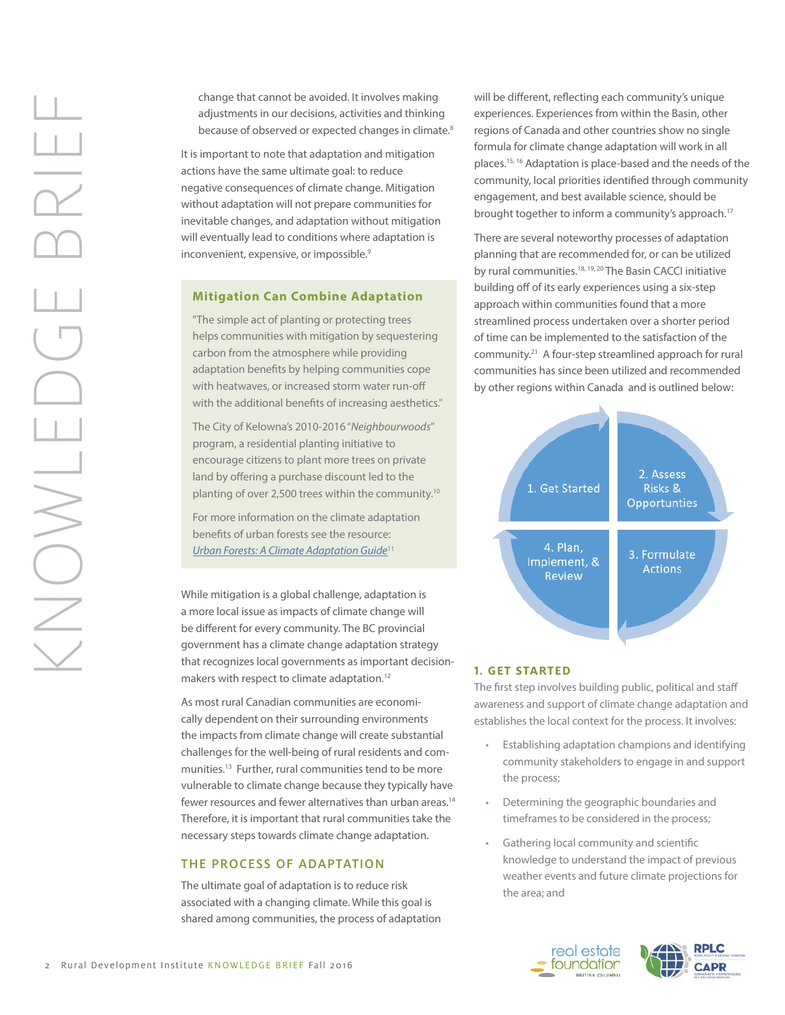change that cannot be avoided. It involves making adjustments in our decisions, activities and thinking because of observed or expected changes in climate.<sup>8</sup>

It is important to note that adaptation and mitigation actions have the same ultimate goal: to reduce negative consequences of climate change. Mitigation without adaptation will not prepare communities for inevitable changes, and adaptation without mitigation will eventually lead to conditions where adaptation is inconvenient, expensive, or impossible.<sup>9</sup>

# **Mitigation Can Combine Adaptation**

"The simple act of planting or protecting trees helps communities with mitigation by sequestering carbon from the atmosphere while providing adaptation benefits by helping communities cope with heatwaves, or increased storm water run-off with the additional benefits of increasing aesthetics."

The City of Kelowna's 2010-2016 "*Neighbourwoods*" program, a residential planting initiative to encourage citizens to plant more trees on private land by offering a purchase discount led to the planting of over 2,500 trees within the community.10

For more information on the climate adaptation benefits of urban forests see the resource: *[Urban Forests: A Climate Adaptation Guide](http://www.retooling.ca/_library/docs/urban_forests_guide.pdf)*11

While mitigation is a global challenge, adaptation is a more local issue as impacts of climate change will be different for every community. The BC provincial government has a climate change adaptation strategy that recognizes local governments as important decisionmakers with respect to climate adaptation.<sup>12</sup>

As most rural Canadian communities are economically dependent on their surrounding environments the impacts from climate change will create substantial challenges for the well-being of rural residents and communities.13 Further, rural communities tend to be more vulnerable to climate change because they typically have fewer resources and fewer alternatives than urban areas.<sup>14</sup> Therefore, it is important that rural communities take the necessary steps towards climate change adaptation.

#### THE PROCESS OF ADAPTATION

The ultimate goal of adaptation is to reduce risk associated with a changing climate. While this goal is shared among communities, the process of adaptation will be different, reflecting each community's unique experiences. Experiences from within the Basin, other regions of Canada and other countries show no single formula for climate change adaptation will work in all places.15, 16 Adaptation is place-based and the needs of the community, local priorities identified through community engagement, and best available science, should be brought together to inform a community's approach.17

There are several noteworthy processes of adaptation planning that are recommended for, or can be utilized by rural communities.18, 19, 20 The Basin CACCI initiative building off of its early experiences using a six-step approach within communities found that a more streamlined process undertaken over a shorter period of time can be implemented to the satisfaction of the community.21 A four-step streamlined approach for rural communities has since been utilized and recommended by other regions within Canada and is outlined below:



#### **1. GET STARTED**

The first step involves building public, political and staff awareness and support of climate change adaptation and establishes the local context for the process. It involves:

- Establishing adaptation champions and identifying community stakeholders to engage in and support the process;
- Determining the geographic boundaries and timeframes to be considered in the process;
- Gathering local community and scientific knowledge to understand the impact of previous weather events and future climate projections for the area; and

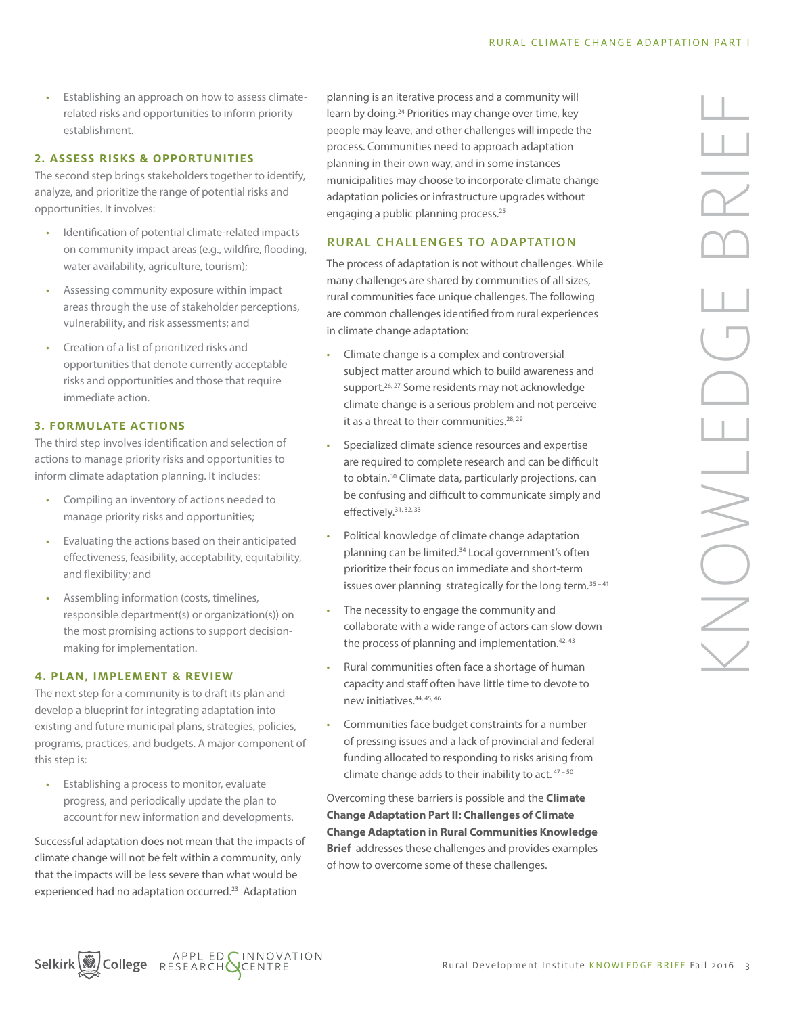• Establishing an approach on how to assess climaterelated risks and opportunities to inform priority establishment.

#### **2. ASSESS RISKS & OPPORTUNITIES**

The second step brings stakeholders together to identify, analyze, and prioritize the range of potential risks and opportunities. It involves:

- Identification of potential climate-related impacts on community impact areas (e.g., wildfire, flooding, water availability, agriculture, tourism);
- Assessing community exposure within impact areas through the use of stakeholder perceptions, vulnerability, and risk assessments; and
- Creation of a list of prioritized risks and opportunities that denote currently acceptable risks and opportunities and those that require immediate action.

# **3. FORMULATE ACTIONS**

The third step involves identification and selection of actions to manage priority risks and opportunities to inform climate adaptation planning. It includes:

- Compiling an inventory of actions needed to manage priority risks and opportunities;
- Evaluating the actions based on their anticipated effectiveness, feasibility, acceptability, equitability, and flexibility; and
- Assembling information (costs, timelines, responsible department(s) or organization(s)) on the most promising actions to support decisionmaking for implementation.

#### **4. PLAN, IMPLEMENT & REVIEW**

The next step for a community is to draft its plan and develop a blueprint for integrating adaptation into existing and future municipal plans, strategies, policies, programs, practices, and budgets. A major component of this step is:

• Establishing a process to monitor, evaluate progress, and periodically update the plan to account for new information and developments.

Successful adaptation does not mean that the impacts of climate change will not be felt within a community, only that the impacts will be less severe than what would be experienced had no adaptation occurred.23 Adaptation

planning is an iterative process and a community will learn by doing.24 Priorities may change over time, key people may leave, and other challenges will impede the process. Communities need to approach adaptation planning in their own way, and in some instances municipalities may choose to incorporate climate change adaptation policies or infrastructure upgrades without engaging a public planning process.<sup>25</sup>

# RURAL CHALLENGES TO ADAPTATION

The process of adaptation is not without challenges. While many challenges are shared by communities of all sizes, rural communities face unique challenges. The following are common challenges identified from rural experiences in climate change adaptation:

- Climate change is a complex and controversial subject matter around which to build awareness and support.<sup>26, 27</sup> Some residents may not acknowledge climate change is a serious problem and not perceive it as a threat to their communities. $28, 29$
- Specialized climate science resources and expertise are required to complete research and can be difficult to obtain.<sup>30</sup> Climate data, particularly projections, can be confusing and difficult to communicate simply and effectively.31, 32, 33
- Political knowledge of climate change adaptation planning can be limited.34 Local government's often prioritize their focus on immediate and short-term issues over planning strategically for the long term.<sup>35-41</sup>
- The necessity to engage the community and collaborate with a wide range of actors can slow down the process of planning and implementation.<sup>42, 43</sup>
- Rural communities often face a shortage of human capacity and staff often have little time to devote to new initiatives.44, 45, 46
- Communities face budget constraints for a number of pressing issues and a lack of provincial and federal funding allocated to responding to risks arising from climate change adds to their inability to act. 47-50

Overcoming these barriers is possible and the **Climate Change Adaptation Part II: Challenges of Climate Change Adaptation in Rural Communities Knowledge Brief** addresses these challenges and provides examples of how to overcome some of these challenges.